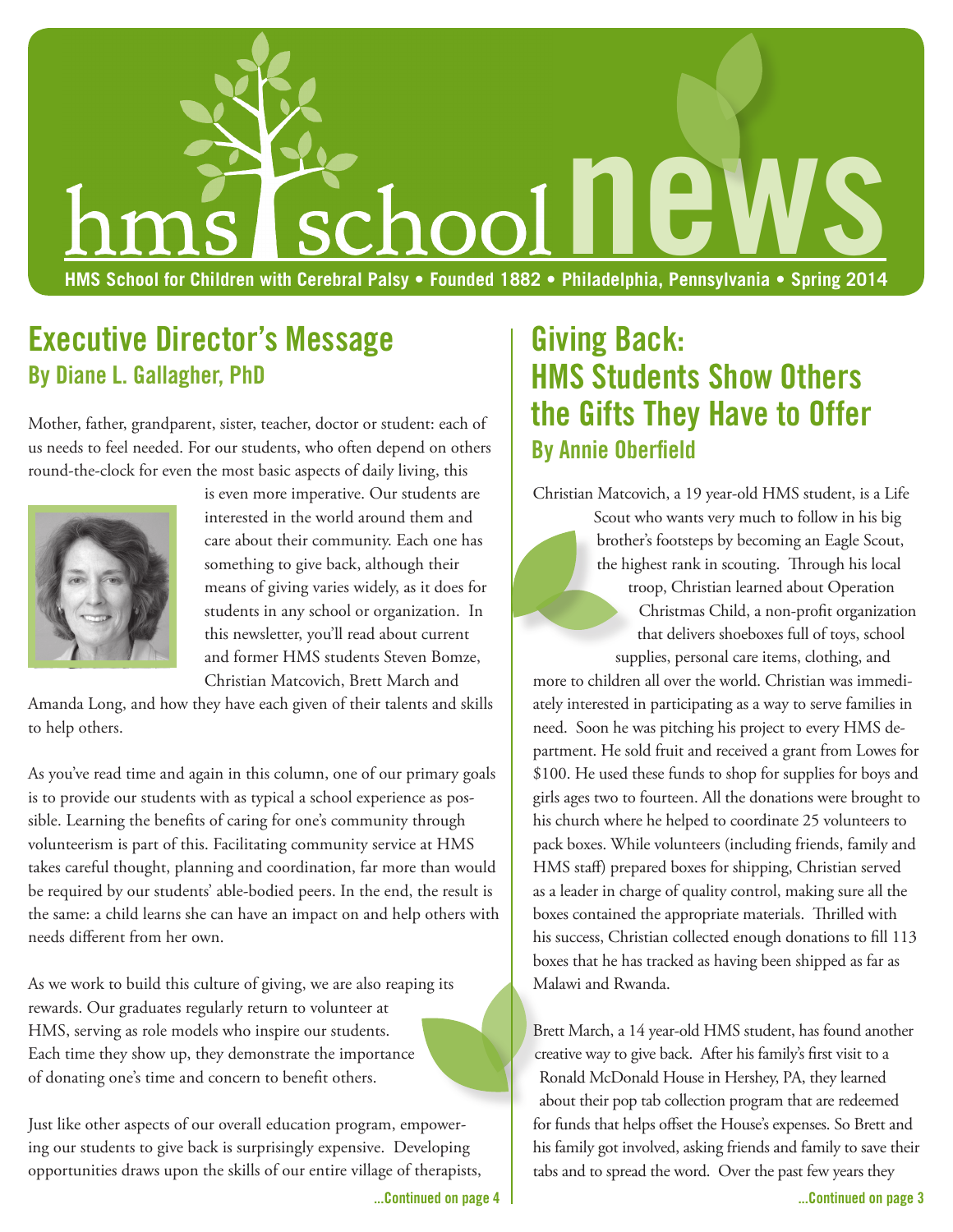

### **Executive Director's Message By Diane L. Gallagher, PhD**

Mother, father, grandparent, sister, teacher, doctor or student: each of us needs to feel needed. For our students, who often depend on others round-the-clock for even the most basic aspects of daily living, this



is even more imperative. Our students are interested in the world around them and care about their community. Each one has something to give back, although their means of giving varies widely, as it does for students in any school or organization. In this newsletter, you'll read about current and former HMS students Steven Bomze, Christian Matcovich, Brett March and

Amanda Long, and how they have each given of their talents and skills to help others.

As you've read time and again in this column, one of our primary goals is to provide our students with as typical a school experience as possible. Learning the benefits of caring for one's community through volunteerism is part of this. Facilitating community service at HMS takes careful thought, planning and coordination, far more than would be required by our students' able-bodied peers. In the end, the result is the same: a child learns she can have an impact on and help others with needs different from her own.

As we work to build this culture of giving, we are also reaping its rewards. Our graduates regularly return to volunteer at HMS, serving as role models who inspire our students. Each time they show up, they demonstrate the importance of donating one's time and concern to benefit others.

Just like other aspects of our overall education program, empowering our students to give back is surprisingly expensive. Developing opportunities draws upon the skills of our entire village of therapists,

# **Giving Back: HMS Students Show Others the Gifts They Have to Offer By Annie Oberfield**

Christian Matcovich, a 19 year-old HMS student, is a Life Scout who wants very much to follow in his big brother's footsteps by becoming an Eagle Scout, the highest rank in scouting. Through his local troop, Christian learned about Operation Christmas Child, a non-profit organization that delivers shoeboxes full of toys, school supplies, personal care items, clothing, and

more to children all over the world. Christian was immediately interested in participating as a way to serve families in need. Soon he was pitching his project to every HMS department. He sold fruit and received a grant from Lowes for \$100. He used these funds to shop for supplies for boys and girls ages two to fourteen. All the donations were brought to his church where he helped to coordinate 25 volunteers to pack boxes. While volunteers (including friends, family and HMS staff) prepared boxes for shipping, Christian served as a leader in charge of quality control, making sure all the boxes contained the appropriate materials. Thrilled with his success, Christian collected enough donations to fill 113 boxes that he has tracked as having been shipped as far as Malawi and Rwanda.

Brett March, a 14 year-old HMS student, has found another creative way to give back. After his family's first visit to a Ronald McDonald House in Hershey, PA, they learned about their pop tab collection program that are redeemed for funds that helps offset the House's expenses. So Brett and his family got involved, asking friends and family to save their tabs and to spread the word. Over the past few years they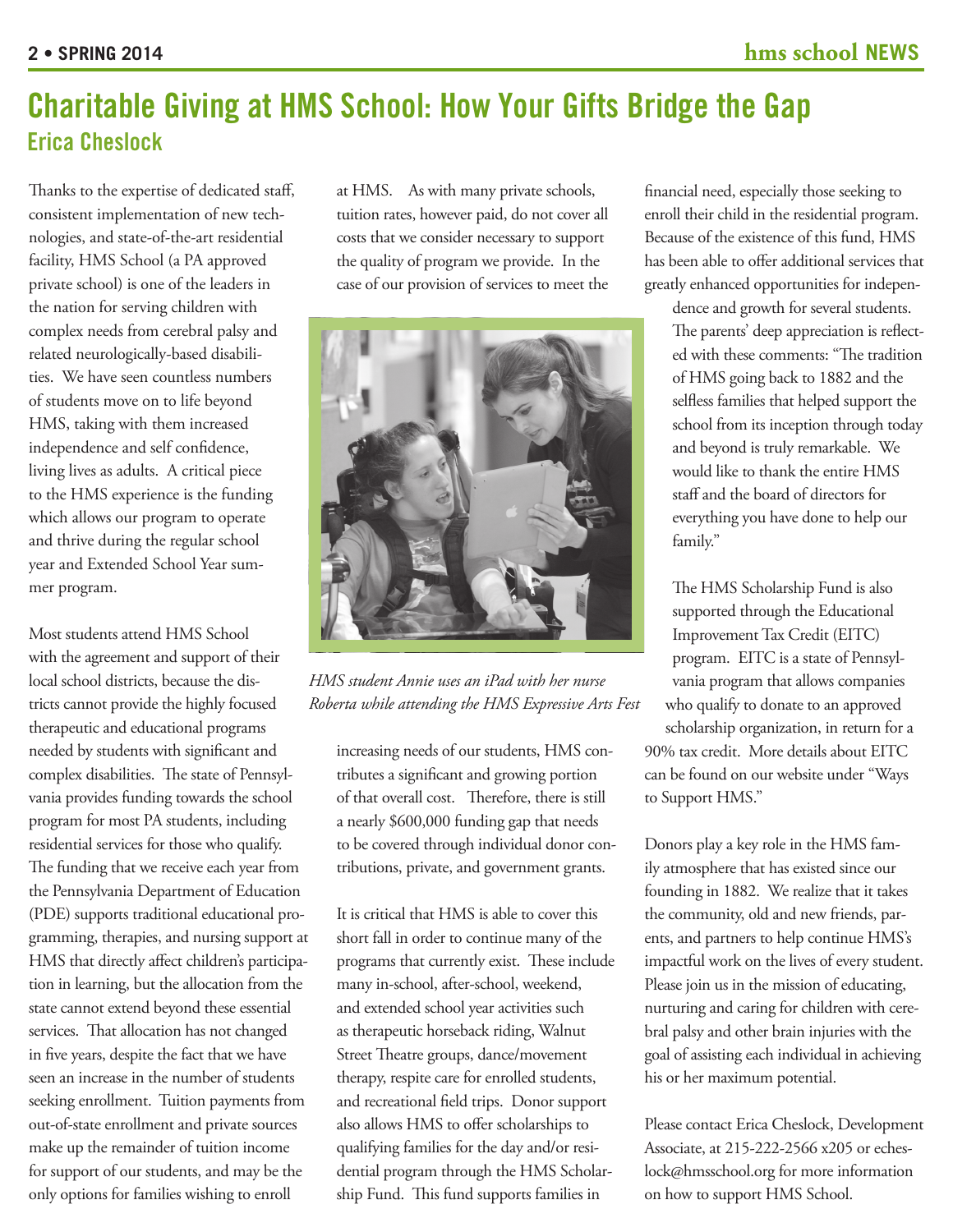### **Charitable Giving at HMS School: How Your Gifts Bridge the Gap Erica Cheslock**

Thanks to the expertise of dedicated staff, consistent implementation of new technologies, and state-of-the-art residential facility, HMS School (a PA approved private school) is one of the leaders in the nation for serving children with complex needs from cerebral palsy and related neurologically-based disabilities. We have seen countless numbers of students move on to life beyond HMS, taking with them increased independence and self confidence, living lives as adults. A critical piece to the HMS experience is the funding which allows our program to operate and thrive during the regular school year and Extended School Year summer program.

Most students attend HMS School with the agreement and support of their local school districts, because the districts cannot provide the highly focused therapeutic and educational programs needed by students with significant and complex disabilities. The state of Pennsylvania provides funding towards the school program for most PA students, including residential services for those who qualify. The funding that we receive each year from the Pennsylvania Department of Education (PDE) supports traditional educational programming, therapies, and nursing support at HMS that directly affect children's participation in learning, but the allocation from the state cannot extend beyond these essential services. That allocation has not changed in five years, despite the fact that we have seen an increase in the number of students seeking enrollment. Tuition payments from out-of-state enrollment and private sources make up the remainder of tuition income for support of our students, and may be the only options for families wishing to enroll

at HMS. As with many private schools, tuition rates, however paid, do not cover all costs that we consider necessary to support the quality of program we provide. In the case of our provision of services to meet the



*HMS student Annie uses an iPad with her nurse Roberta while attending the HMS Expressive Arts Fest*

increasing needs of our students, HMS contributes a significant and growing portion of that overall cost. Therefore, there is still a nearly \$600,000 funding gap that needs to be covered through individual donor contributions, private, and government grants.

It is critical that HMS is able to cover this short fall in order to continue many of the programs that currently exist. These include many in-school, after-school, weekend, and extended school year activities such as therapeutic horseback riding, Walnut Street Theatre groups, dance/movement therapy, respite care for enrolled students, and recreational field trips. Donor support also allows HMS to offer scholarships to qualifying families for the day and/or residential program through the HMS Scholarship Fund. This fund supports families in

financial need, especially those seeking to enroll their child in the residential program. Because of the existence of this fund, HMS has been able to offer additional services that greatly enhanced opportunities for indepen-

dence and growth for several students. The parents' deep appreciation is reflected with these comments: "The tradition of HMS going back to 1882 and the selfless families that helped support the school from its inception through today and beyond is truly remarkable. We would like to thank the entire HMS staff and the board of directors for everything you have done to help our family."

The HMS Scholarship Fund is also supported through the Educational Improvement Tax Credit (EITC) program. EITC is a state of Pennsylvania program that allows companies who qualify to donate to an approved scholarship organization, in return for a 90% tax credit. More details about EITC can be found on our website under "Ways to Support HMS."

Donors play a key role in the HMS family atmosphere that has existed since our founding in 1882. We realize that it takes the community, old and new friends, parents, and partners to help continue HMS's impactful work on the lives of every student. Please join us in the mission of educating, nurturing and caring for children with cerebral palsy and other brain injuries with the goal of assisting each individual in achieving his or her maximum potential.

Please contact Erica Cheslock, Development Associate, at 215-222-2566 x205 or echeslock@hmsschool.org for more information on how to support HMS School.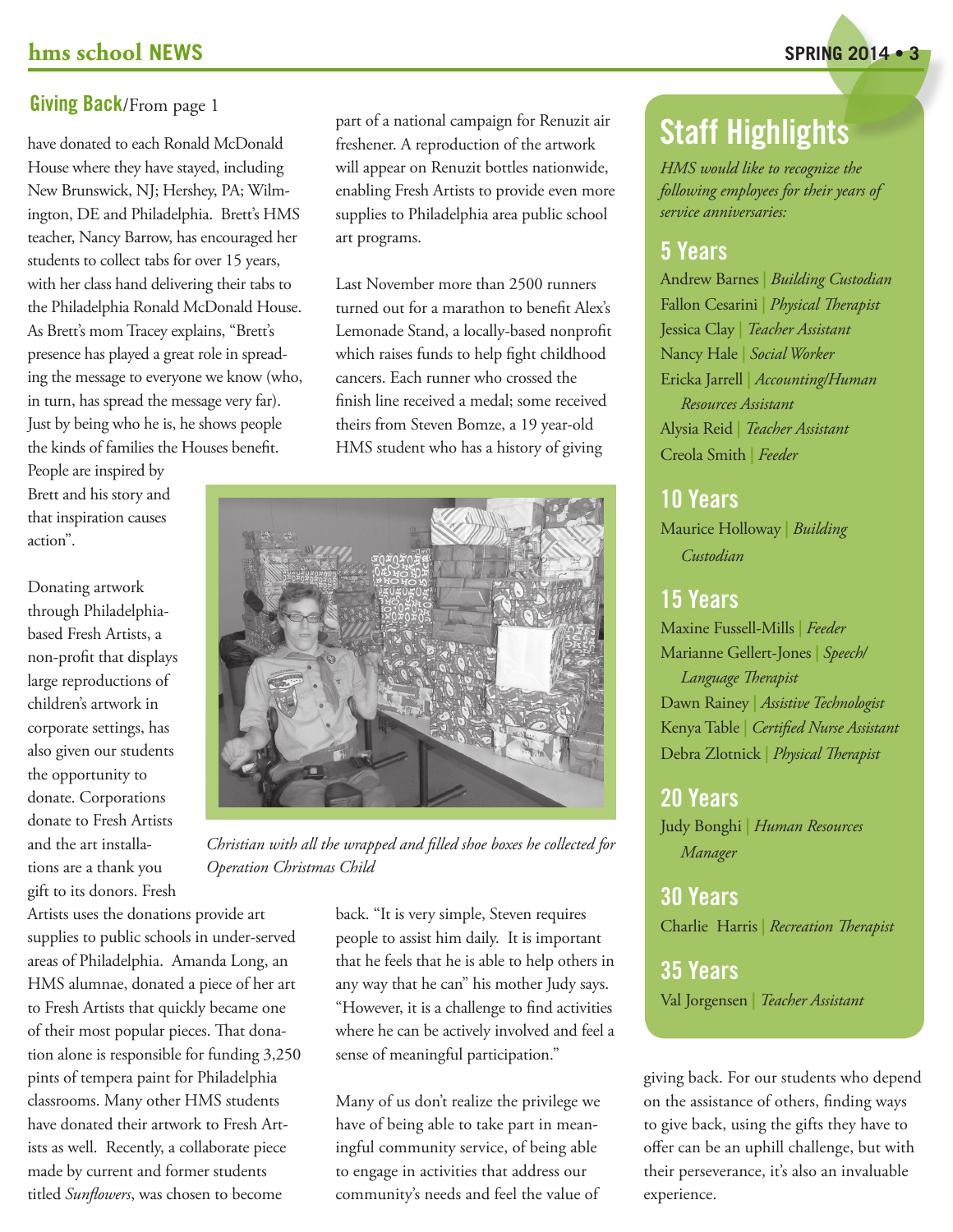#### **Giving Back**/From page 1

have donated to each Ronald McDonald House where they have stayed, including New Brunswick, NJ; Hershey, PA; Wilmington, DE and Philadelphia. Brett's HMS teacher, Nancy Barrow, has encouraged her students to collect tabs for over 15 years, with her class hand delivering their tabs to the Philadelphia Ronald McDonald House. As Brett's mom Tracey explains, "Brett's presence has played a great role in spreading the message to everyone we know (who, in turn, has spread the message very far). Just by being who he is, he shows people the kinds of families the Houses benefit.

People are inspired by Brett and his story and that inspiration causes action".

Donating artwork through Philadelphiabased Fresh Artists, a non-profit that displays large reproductions of children's artwork in corporate settings, has also given our students the opportunity to donate. Corporations donate to Fresh Artists and the art installations are a thank you gift to its donors. Fresh

Artists uses the donations provide art supplies to public schools in under-served areas of Philadelphia. Amanda Long, an HMS alumnae, donated a piece of her art to Fresh Artists that quickly became one of their most popular pieces. That donation alone is responsible for funding 3,250 pints of tempera paint for Philadelphia classrooms. Many other HMS students have donated their artwork to Fresh Artists as well. Recently, a collaborate piece made by current and former students titled *Sunflowers*, was chosen to become

part of a national campaign for Renuzit air freshener. A reproduction of the artwork will appear on Renuzit bottles nationwide, enabling Fresh Artists to provide even more supplies to Philadelphia area public school art programs.

Last November more than 2500 runners turned out for a marathon to benefit Alex's Lemonade Stand, a locally-based nonprofit which raises funds to help fight childhood cancers. Each runner who crossed the finish line received a medal; some received theirs from Steven Bomze, a 19 year-old HMS student who has a history of giving



*Christian with all the wrapped and filled shoe boxes he collected for Operation Christmas Child*

back. "It is very simple, Steven requires people to assist him daily. It is important that he feels that he is able to help others in any way that he can" his mother Judy says. "However, it is a challenge to find activities where he can be actively involved and feel a sense of meaningful participation."

Many of us don't realize the privilege we have of being able to take part in meaningful community service, of being able to engage in activities that address our community's needs and feel the value of

# **Staff Highlights**

*HMS would like to recognize the following employees for their years of service anniversaries:*

### **5 Years**

Andrew Barnes **|** *Building Custodian* Fallon Cesarini **|** *Physical Therapist* Jessica Clay **|** *Teacher Assistant* Nancy Hale **|** *Social Worker* Ericka Jarrell **|** *Accounting/Human Resources Assistant* Alysia Reid **|** *Teacher Assistant* Creola Smith **|** *Feeder*

#### **10 Years**

Maurice Holloway **|** *Building Custodian*

#### **15 Years**

Maxine Fussell-Mills **|** *Feeder* Marianne Gellert-Jones **|** *Speech/ Language Therapist* Dawn Rainey **|** *Assistive Technologist* Kenya Table **|** *Certified Nurse Assistant* Debra Zlotnick **|** *Physical Therapist*

#### **20 Years**

Judy Bonghi **|** *Human Resources Manager*

**30 Years** Charlie Harris **|** *Recreation Therapist*

**35 Years** Val Jorgensen **|** *Teacher Assistant*

giving back. For our students who depend on the assistance of others, finding ways to give back, using the gifts they have to offer can be an uphill challenge, but with their perseverance, it's also an invaluable experience.